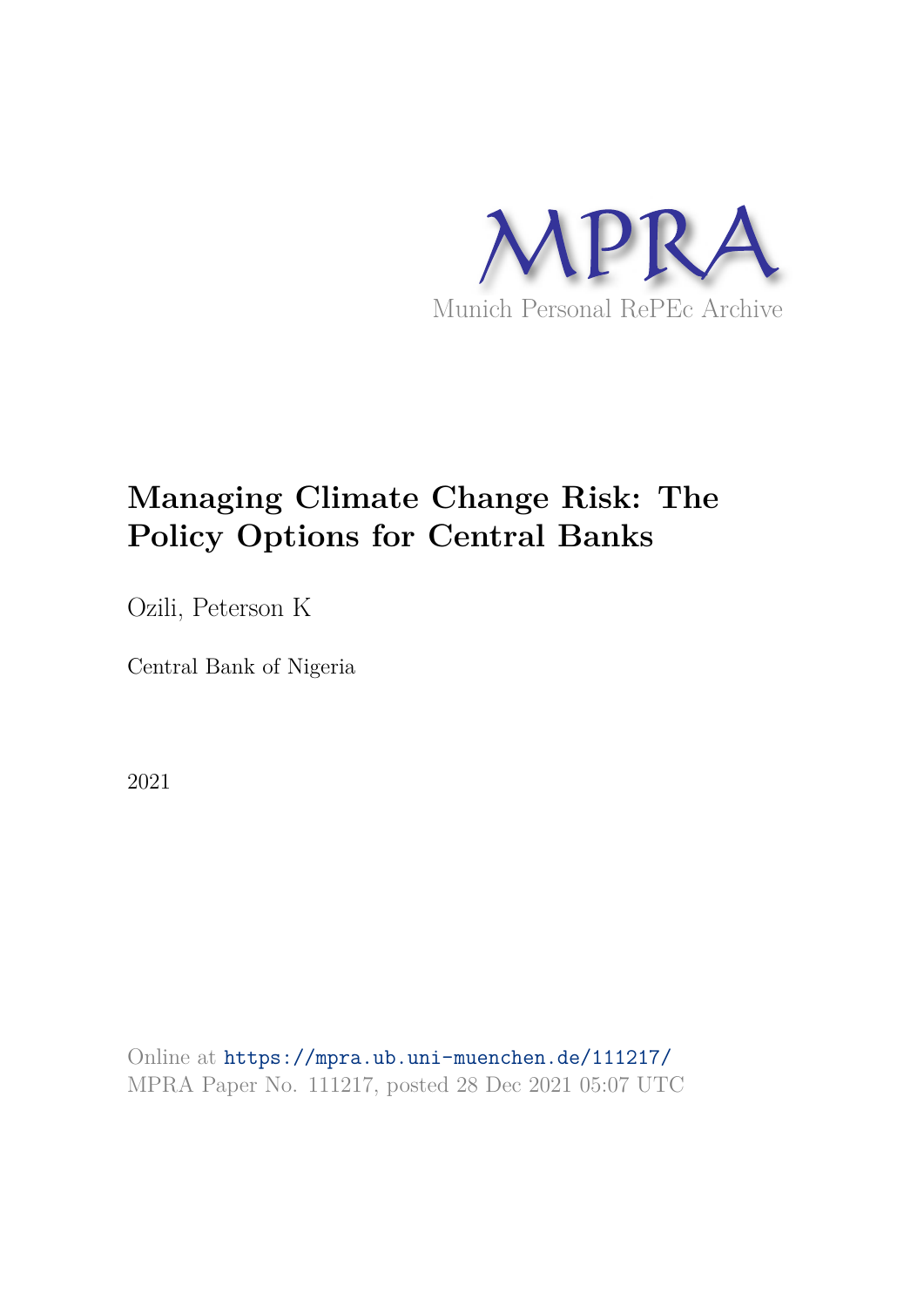

# **Managing Climate Change Risk: The Policy Options for Central Banks**

Ozili, Peterson K

Central Bank of Nigeria

2021

Online at https://mpra.ub.uni-muenchen.de/111217/ MPRA Paper No. 111217, posted 28 Dec 2021 05:07 UTC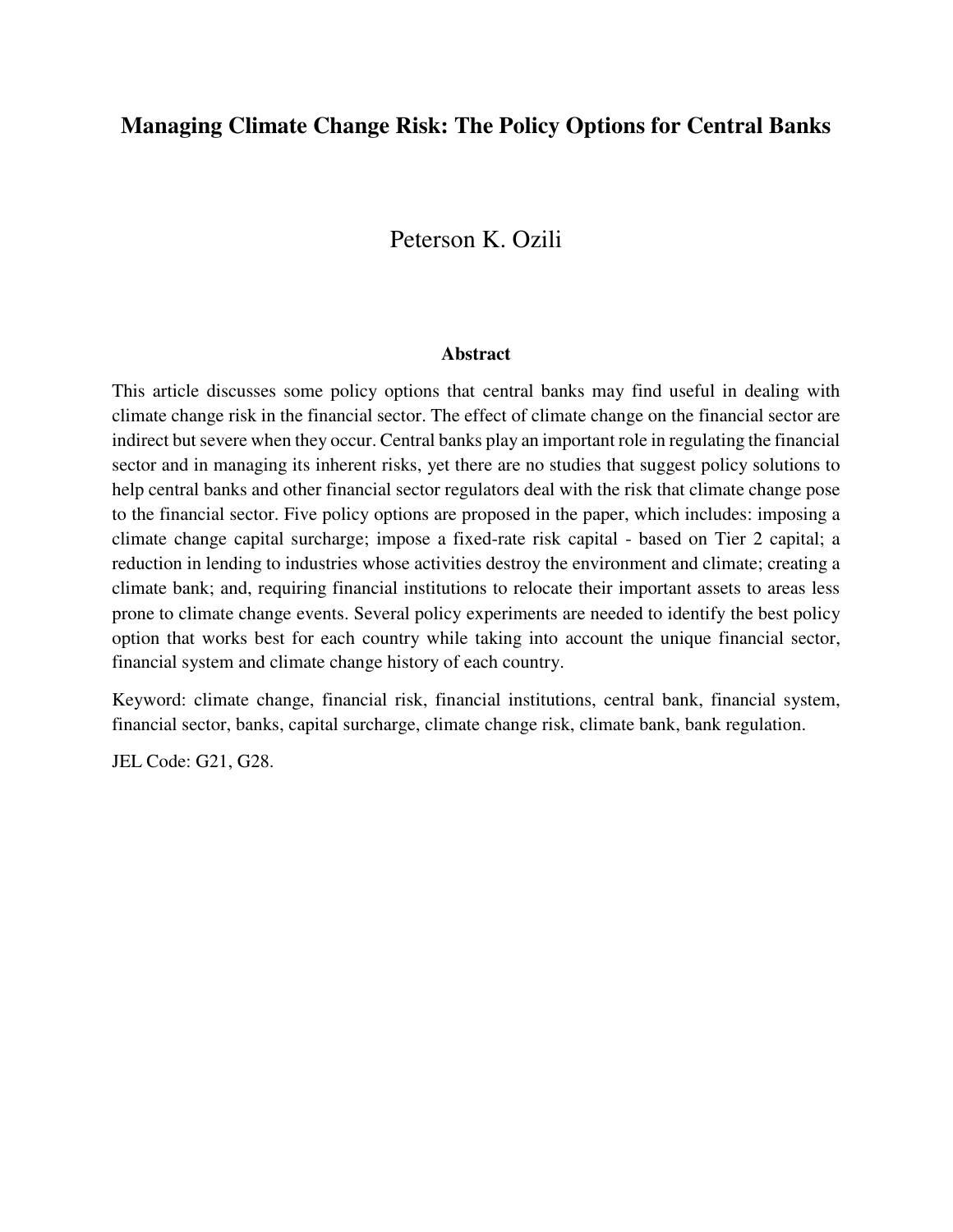### **Managing Climate Change Risk: The Policy Options for Central Banks**

# Peterson K. Ozili

#### **Abstract**

This article discusses some policy options that central banks may find useful in dealing with climate change risk in the financial sector. The effect of climate change on the financial sector are indirect but severe when they occur. Central banks play an important role in regulating the financial sector and in managing its inherent risks, yet there are no studies that suggest policy solutions to help central banks and other financial sector regulators deal with the risk that climate change pose to the financial sector. Five policy options are proposed in the paper, which includes: imposing a climate change capital surcharge; impose a fixed-rate risk capital - based on Tier 2 capital; a reduction in lending to industries whose activities destroy the environment and climate; creating a climate bank; and, requiring financial institutions to relocate their important assets to areas less prone to climate change events. Several policy experiments are needed to identify the best policy option that works best for each country while taking into account the unique financial sector, financial system and climate change history of each country.

Keyword: climate change, financial risk, financial institutions, central bank, financial system, financial sector, banks, capital surcharge, climate change risk, climate bank, bank regulation.

JEL Code: G21, G28.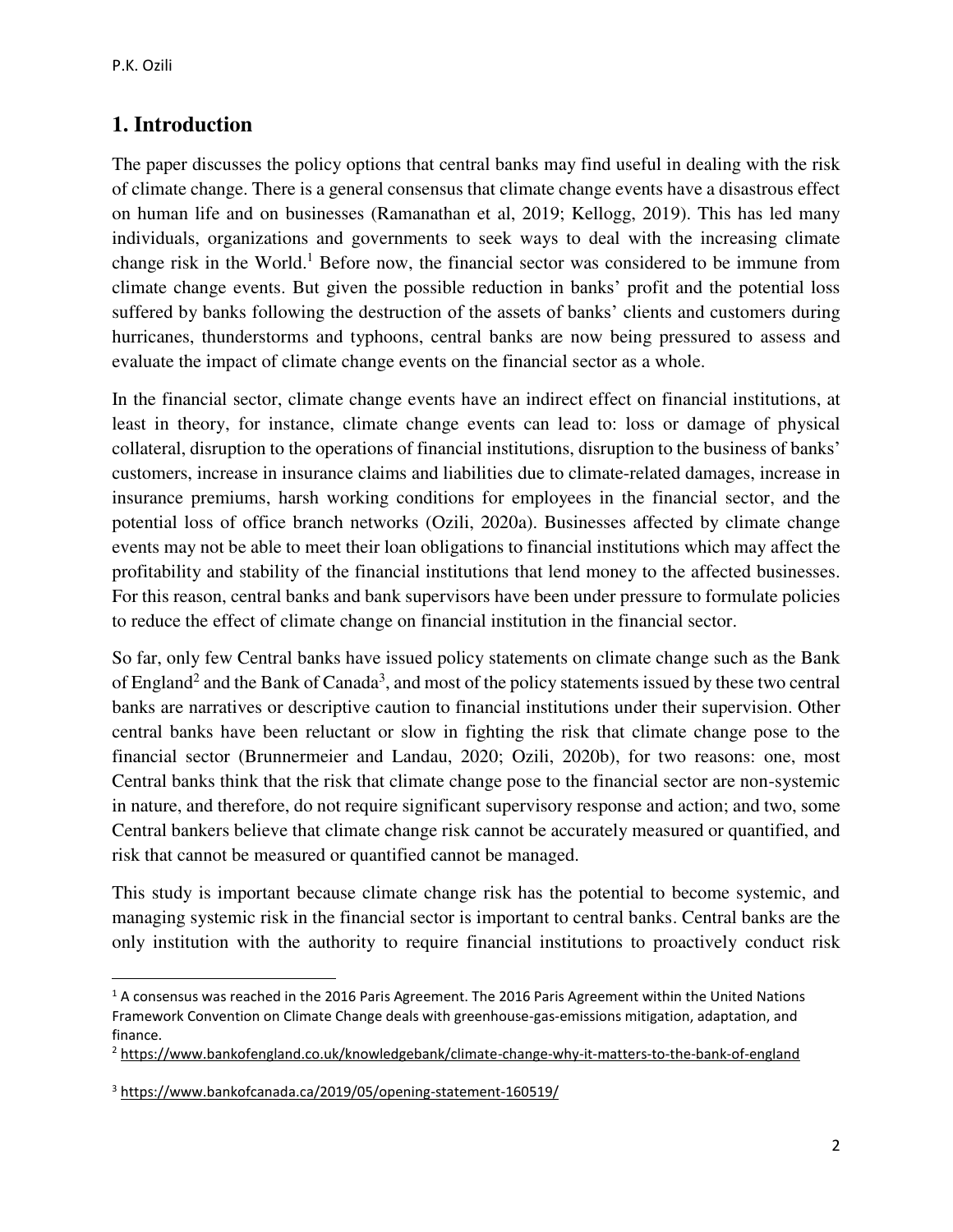$\overline{\phantom{0}}$ 

### **1. Introduction**

The paper discusses the policy options that central banks may find useful in dealing with the risk of climate change. There is a general consensus that climate change events have a disastrous effect on human life and on businesses (Ramanathan et al, 2019; Kellogg, 2019). This has led many individuals, organizations and governments to seek ways to deal with the increasing climate change risk in the World.<sup>1</sup> Before now, the financial sector was considered to be immune from climate change events. But given the possible reduction in banks' profit and the potential loss suffered by banks following the destruction of the assets of banks' clients and customers during hurricanes, thunderstorms and typhoons, central banks are now being pressured to assess and evaluate the impact of climate change events on the financial sector as a whole.

In the financial sector, climate change events have an indirect effect on financial institutions, at least in theory, for instance, climate change events can lead to: loss or damage of physical collateral, disruption to the operations of financial institutions, disruption to the business of banks' customers, increase in insurance claims and liabilities due to climate-related damages, increase in insurance premiums, harsh working conditions for employees in the financial sector, and the potential loss of office branch networks (Ozili, 2020a). Businesses affected by climate change events may not be able to meet their loan obligations to financial institutions which may affect the profitability and stability of the financial institutions that lend money to the affected businesses. For this reason, central banks and bank supervisors have been under pressure to formulate policies to reduce the effect of climate change on financial institution in the financial sector.

So far, only few Central banks have issued policy statements on climate change such as the Bank of England<sup>2</sup> and the Bank of Canada<sup>3</sup>, and most of the policy statements issued by these two central banks are narratives or descriptive caution to financial institutions under their supervision. Other central banks have been reluctant or slow in fighting the risk that climate change pose to the financial sector (Brunnermeier and Landau, 2020; Ozili, 2020b), for two reasons: one, most Central banks think that the risk that climate change pose to the financial sector are non-systemic in nature, and therefore, do not require significant supervisory response and action; and two, some Central bankers believe that climate change risk cannot be accurately measured or quantified, and risk that cannot be measured or quantified cannot be managed.

This study is important because climate change risk has the potential to become systemic, and managing systemic risk in the financial sector is important to central banks. Central banks are the only institution with the authority to require financial institutions to proactively conduct risk

 $<sup>1</sup>$  A consensus was reached in the 2016 Paris Agreement. The 2016 Paris Agreement within the United Nations</sup> Framework Convention on Climate Change deals with greenhouse-gas-emissions mitigation, adaptation, and finance.

<sup>&</sup>lt;sup>2</sup> https://www.bankofengland.co.uk/knowledgebank/climate-change-why-it-matters-to-the-bank-of-england

<sup>&</sup>lt;sup>3</sup> https://www.bankofcanada.ca/2019/05/opening-statement-160519/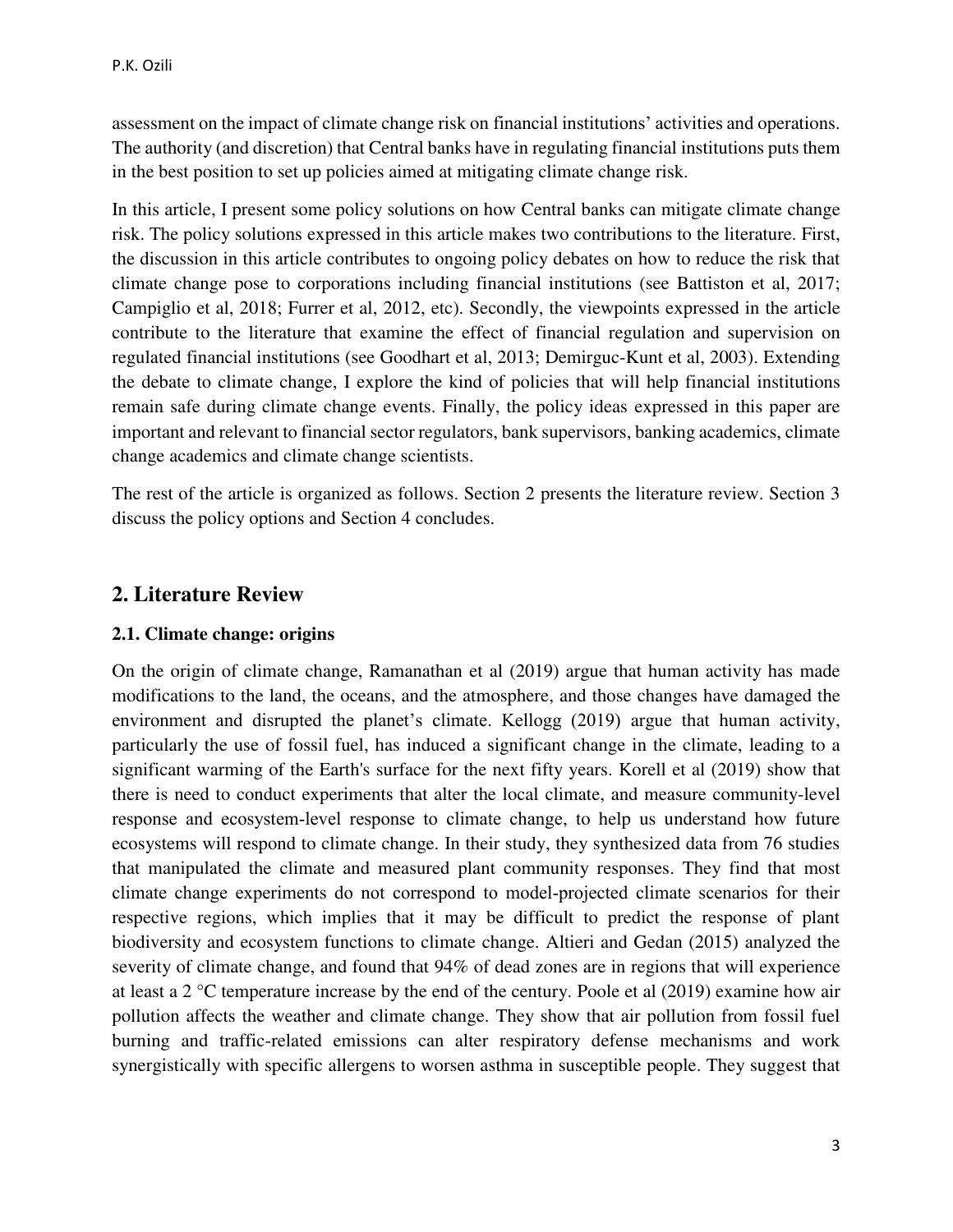assessment on the impact of climate change risk on financial institutions' activities and operations. The authority (and discretion) that Central banks have in regulating financial institutions puts them in the best position to set up policies aimed at mitigating climate change risk.

In this article, I present some policy solutions on how Central banks can mitigate climate change risk. The policy solutions expressed in this article makes two contributions to the literature. First, the discussion in this article contributes to ongoing policy debates on how to reduce the risk that climate change pose to corporations including financial institutions (see Battiston et al, 2017; Campiglio et al, 2018; Furrer et al, 2012, etc). Secondly, the viewpoints expressed in the article contribute to the literature that examine the effect of financial regulation and supervision on regulated financial institutions (see Goodhart et al, 2013; Demirguc-Kunt et al, 2003). Extending the debate to climate change, I explore the kind of policies that will help financial institutions remain safe during climate change events. Finally, the policy ideas expressed in this paper are important and relevant to financial sector regulators, bank supervisors, banking academics, climate change academics and climate change scientists.

The rest of the article is organized as follows. Section 2 presents the literature review. Section 3 discuss the policy options and Section 4 concludes.

# **2. Literature Review**

#### **2.1. Climate change: origins**

On the origin of climate change, Ramanathan et al (2019) argue that human activity has made modifications to the land, the oceans, and the atmosphere, and those changes have damaged the environment and disrupted the planet's climate. Kellogg (2019) argue that human activity, particularly the use of fossil fuel, has induced a significant change in the climate, leading to a significant warming of the Earth's surface for the next fifty years. Korell et al (2019) show that there is need to conduct experiments that alter the local climate, and measure community-level response and ecosystem‐level response to climate change, to help us understand how future ecosystems will respond to climate change. In their study, they synthesized data from 76 studies that manipulated the climate and measured plant community responses. They find that most climate change experiments do not correspond to model‐projected climate scenarios for their respective regions, which implies that it may be difficult to predict the response of plant biodiversity and ecosystem functions to climate change. Altieri and Gedan (2015) analyzed the severity of climate change, and found that 94% of dead zones are in regions that will experience at least a 2 °C temperature increase by the end of the century. Poole et al (2019) examine how air pollution affects the weather and climate change. They show that air pollution from fossil fuel burning and traffic-related emissions can alter respiratory defense mechanisms and work synergistically with specific allergens to worsen asthma in susceptible people. They suggest that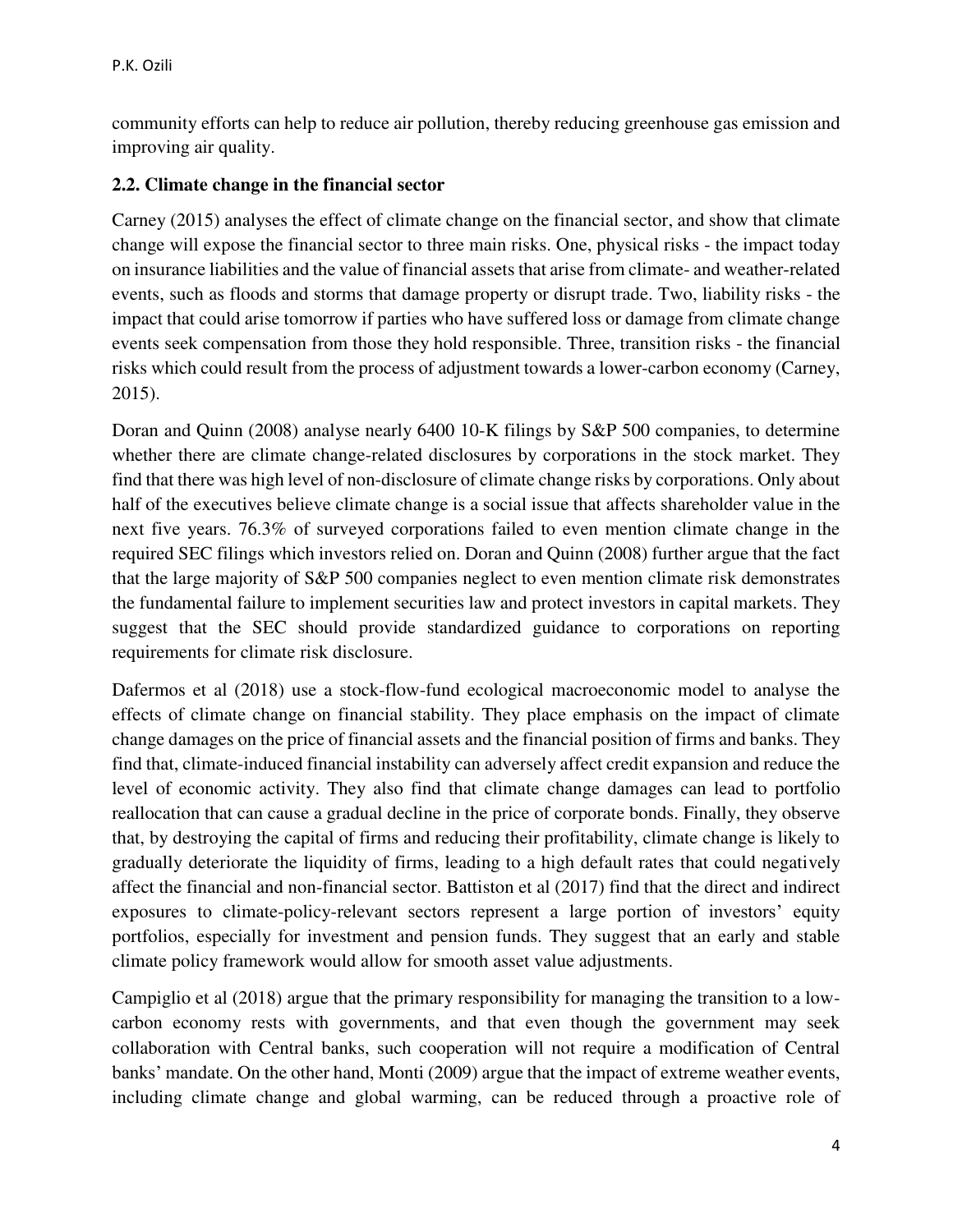community efforts can help to reduce air pollution, thereby reducing greenhouse gas emission and improving air quality.

#### **2.2. Climate change in the financial sector**

Carney (2015) analyses the effect of climate change on the financial sector, and show that climate change will expose the financial sector to three main risks. One, physical risks - the impact today on insurance liabilities and the value of financial assets that arise from climate- and weather-related events, such as floods and storms that damage property or disrupt trade. Two, liability risks - the impact that could arise tomorrow if parties who have suffered loss or damage from climate change events seek compensation from those they hold responsible. Three, transition risks - the financial risks which could result from the process of adjustment towards a lower-carbon economy (Carney, 2015).

Doran and Quinn (2008) analyse nearly 6400 10-K filings by S&P 500 companies, to determine whether there are climate change-related disclosures by corporations in the stock market. They find that there was high level of non-disclosure of climate change risks by corporations. Only about half of the executives believe climate change is a social issue that affects shareholder value in the next five years. 76.3% of surveyed corporations failed to even mention climate change in the required SEC filings which investors relied on. Doran and Quinn (2008) further argue that the fact that the large majority of S&P 500 companies neglect to even mention climate risk demonstrates the fundamental failure to implement securities law and protect investors in capital markets. They suggest that the SEC should provide standardized guidance to corporations on reporting requirements for climate risk disclosure.

Dafermos et al (2018) use a stock-flow-fund ecological macroeconomic model to analyse the effects of climate change on financial stability. They place emphasis on the impact of climate change damages on the price of financial assets and the financial position of firms and banks. They find that, climate-induced financial instability can adversely affect credit expansion and reduce the level of economic activity. They also find that climate change damages can lead to portfolio reallocation that can cause a gradual decline in the price of corporate bonds. Finally, they observe that, by destroying the capital of firms and reducing their profitability, climate change is likely to gradually deteriorate the liquidity of firms, leading to a high default rates that could negatively affect the financial and non-financial sector. Battiston et al (2017) find that the direct and indirect exposures to climate-policy-relevant sectors represent a large portion of investors' equity portfolios, especially for investment and pension funds. They suggest that an early and stable climate policy framework would allow for smooth asset value adjustments.

Campiglio et al (2018) argue that the primary responsibility for managing the transition to a lowcarbon economy rests with governments, and that even though the government may seek collaboration with Central banks, such cooperation will not require a modification of Central banks' mandate. On the other hand, Monti (2009) argue that the impact of extreme weather events, including climate change and global warming, can be reduced through a proactive role of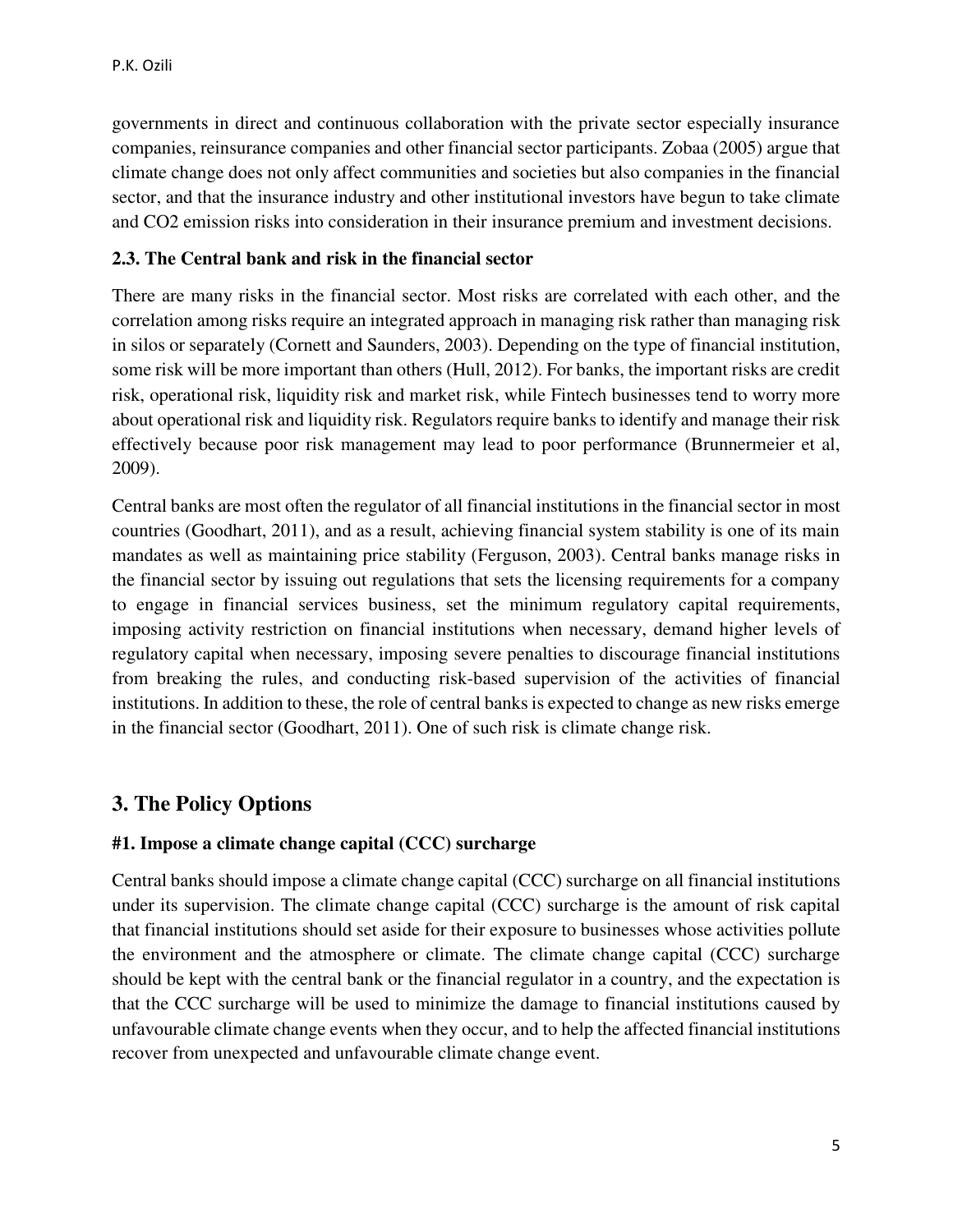governments in direct and continuous collaboration with the private sector especially insurance companies, reinsurance companies and other financial sector participants. Zobaa (2005) argue that climate change does not only affect communities and societies but also companies in the financial sector, and that the insurance industry and other institutional investors have begun to take climate and CO2 emission risks into consideration in their insurance premium and investment decisions.

#### **2.3. The Central bank and risk in the financial sector**

There are many risks in the financial sector. Most risks are correlated with each other, and the correlation among risks require an integrated approach in managing risk rather than managing risk in silos or separately (Cornett and Saunders, 2003). Depending on the type of financial institution, some risk will be more important than others (Hull, 2012). For banks, the important risks are credit risk, operational risk, liquidity risk and market risk, while Fintech businesses tend to worry more about operational risk and liquidity risk. Regulators require banks to identify and manage their risk effectively because poor risk management may lead to poor performance (Brunnermeier et al, 2009).

Central banks are most often the regulator of all financial institutions in the financial sector in most countries (Goodhart, 2011), and as a result, achieving financial system stability is one of its main mandates as well as maintaining price stability (Ferguson, 2003). Central banks manage risks in the financial sector by issuing out regulations that sets the licensing requirements for a company to engage in financial services business, set the minimum regulatory capital requirements, imposing activity restriction on financial institutions when necessary, demand higher levels of regulatory capital when necessary, imposing severe penalties to discourage financial institutions from breaking the rules, and conducting risk-based supervision of the activities of financial institutions. In addition to these, the role of central banks is expected to change as new risks emerge in the financial sector (Goodhart, 2011). One of such risk is climate change risk.

#### **3. The Policy Options**

#### **#1. Impose a climate change capital (CCC) surcharge**

Central banks should impose a climate change capital (CCC) surcharge on all financial institutions under its supervision. The climate change capital (CCC) surcharge is the amount of risk capital that financial institutions should set aside for their exposure to businesses whose activities pollute the environment and the atmosphere or climate. The climate change capital (CCC) surcharge should be kept with the central bank or the financial regulator in a country, and the expectation is that the CCC surcharge will be used to minimize the damage to financial institutions caused by unfavourable climate change events when they occur, and to help the affected financial institutions recover from unexpected and unfavourable climate change event.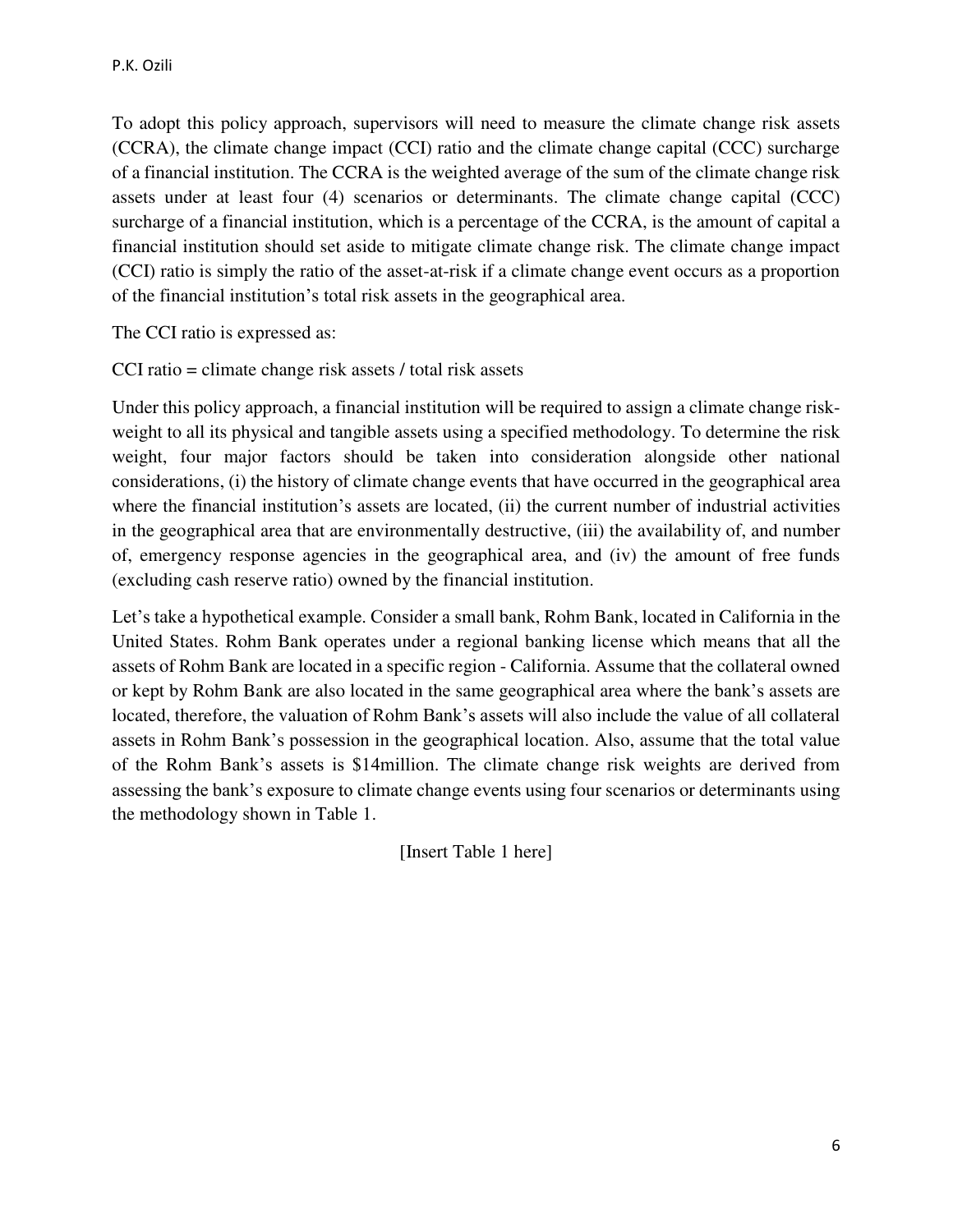To adopt this policy approach, supervisors will need to measure the climate change risk assets (CCRA), the climate change impact (CCI) ratio and the climate change capital (CCC) surcharge of a financial institution. The CCRA is the weighted average of the sum of the climate change risk assets under at least four (4) scenarios or determinants. The climate change capital (CCC) surcharge of a financial institution, which is a percentage of the CCRA, is the amount of capital a financial institution should set aside to mitigate climate change risk. The climate change impact (CCI) ratio is simply the ratio of the asset-at-risk if a climate change event occurs as a proportion of the financial institution's total risk assets in the geographical area.

The CCI ratio is expressed as:

CCI ratio = climate change risk assets / total risk assets

Under this policy approach, a financial institution will be required to assign a climate change riskweight to all its physical and tangible assets using a specified methodology. To determine the risk weight, four major factors should be taken into consideration alongside other national considerations, (i) the history of climate change events that have occurred in the geographical area where the financial institution's assets are located, (ii) the current number of industrial activities in the geographical area that are environmentally destructive, (iii) the availability of, and number of, emergency response agencies in the geographical area, and (iv) the amount of free funds (excluding cash reserve ratio) owned by the financial institution.

Let's take a hypothetical example. Consider a small bank, Rohm Bank, located in California in the United States. Rohm Bank operates under a regional banking license which means that all the assets of Rohm Bank are located in a specific region - California. Assume that the collateral owned or kept by Rohm Bank are also located in the same geographical area where the bank's assets are located, therefore, the valuation of Rohm Bank's assets will also include the value of all collateral assets in Rohm Bank's possession in the geographical location. Also, assume that the total value of the Rohm Bank's assets is \$14million. The climate change risk weights are derived from assessing the bank's exposure to climate change events using four scenarios or determinants using the methodology shown in Table 1.

[Insert Table 1 here]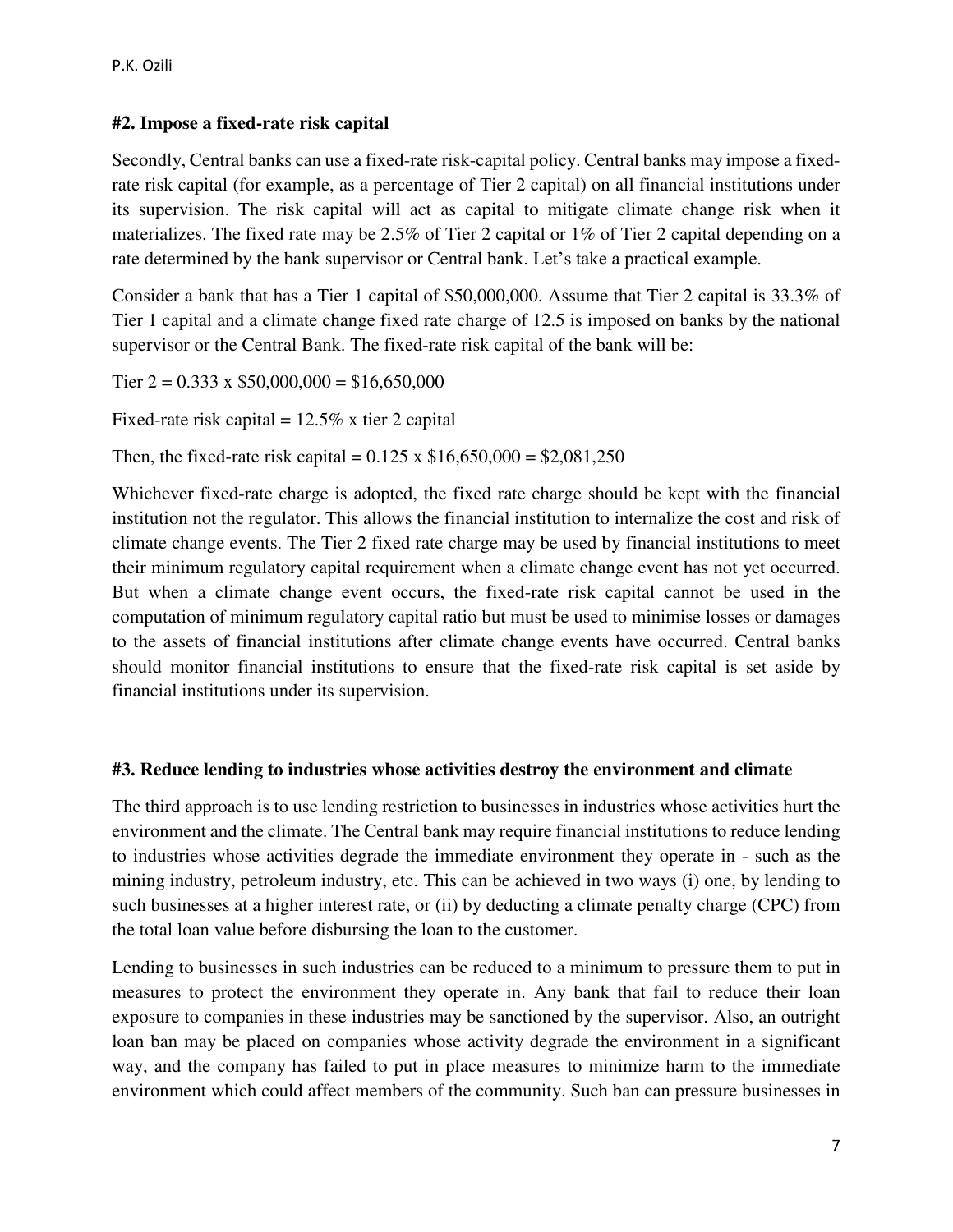# **#2. Impose a fixed-rate risk capital**

Secondly, Central banks can use a fixed-rate risk-capital policy. Central banks may impose a fixedrate risk capital (for example, as a percentage of Tier 2 capital) on all financial institutions under its supervision. The risk capital will act as capital to mitigate climate change risk when it materializes. The fixed rate may be 2.5% of Tier 2 capital or 1% of Tier 2 capital depending on a rate determined by the bank supervisor or Central bank. Let's take a practical example.

Consider a bank that has a Tier 1 capital of \$50,000,000. Assume that Tier 2 capital is 33.3% of Tier 1 capital and a climate change fixed rate charge of 12.5 is imposed on banks by the national supervisor or the Central Bank. The fixed-rate risk capital of the bank will be:

Tier  $2 = 0.333 \times $50,000,000 = $16,650,000$ 

Fixed-rate risk capital  $= 12.5\%$  x tier 2 capital

Then, the fixed-rate risk capital =  $0.125 \times $16,650,000 = $2,081,250$ 

Whichever fixed-rate charge is adopted, the fixed rate charge should be kept with the financial institution not the regulator. This allows the financial institution to internalize the cost and risk of climate change events. The Tier 2 fixed rate charge may be used by financial institutions to meet their minimum regulatory capital requirement when a climate change event has not yet occurred. But when a climate change event occurs, the fixed-rate risk capital cannot be used in the computation of minimum regulatory capital ratio but must be used to minimise losses or damages to the assets of financial institutions after climate change events have occurred. Central banks should monitor financial institutions to ensure that the fixed-rate risk capital is set aside by financial institutions under its supervision.

# **#3. Reduce lending to industries whose activities destroy the environment and climate**

The third approach is to use lending restriction to businesses in industries whose activities hurt the environment and the climate. The Central bank may require financial institutions to reduce lending to industries whose activities degrade the immediate environment they operate in - such as the mining industry, petroleum industry, etc. This can be achieved in two ways (i) one, by lending to such businesses at a higher interest rate, or (ii) by deducting a climate penalty charge (CPC) from the total loan value before disbursing the loan to the customer.

Lending to businesses in such industries can be reduced to a minimum to pressure them to put in measures to protect the environment they operate in. Any bank that fail to reduce their loan exposure to companies in these industries may be sanctioned by the supervisor. Also, an outright loan ban may be placed on companies whose activity degrade the environment in a significant way, and the company has failed to put in place measures to minimize harm to the immediate environment which could affect members of the community. Such ban can pressure businesses in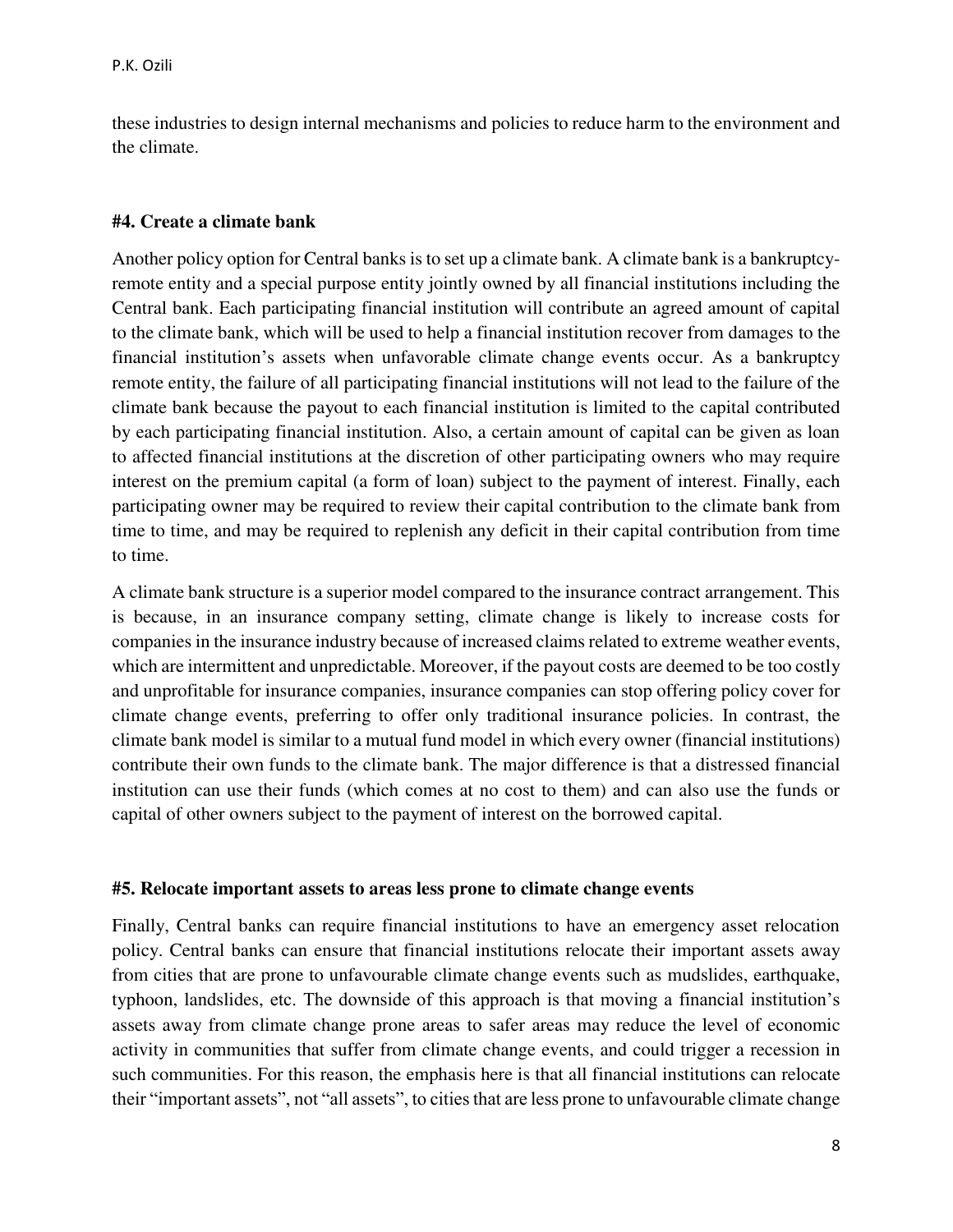these industries to design internal mechanisms and policies to reduce harm to the environment and the climate.

#### **#4. Create a climate bank**

Another policy option for Central banks is to set up a climate bank. A climate bank is a bankruptcyremote entity and a special purpose entity jointly owned by all financial institutions including the Central bank. Each participating financial institution will contribute an agreed amount of capital to the climate bank, which will be used to help a financial institution recover from damages to the financial institution's assets when unfavorable climate change events occur. As a bankruptcy remote entity, the failure of all participating financial institutions will not lead to the failure of the climate bank because the payout to each financial institution is limited to the capital contributed by each participating financial institution. Also, a certain amount of capital can be given as loan to affected financial institutions at the discretion of other participating owners who may require interest on the premium capital (a form of loan) subject to the payment of interest. Finally, each participating owner may be required to review their capital contribution to the climate bank from time to time, and may be required to replenish any deficit in their capital contribution from time to time.

A climate bank structure is a superior model compared to the insurance contract arrangement. This is because, in an insurance company setting, climate change is likely to increase costs for companies in the insurance industry because of increased claims related to extreme weather events, which are intermittent and unpredictable. Moreover, if the payout costs are deemed to be too costly and unprofitable for insurance companies, insurance companies can stop offering policy cover for climate change events, preferring to offer only traditional insurance policies. In contrast, the climate bank model is similar to a mutual fund model in which every owner (financial institutions) contribute their own funds to the climate bank. The major difference is that a distressed financial institution can use their funds (which comes at no cost to them) and can also use the funds or capital of other owners subject to the payment of interest on the borrowed capital.

#### **#5. Relocate important assets to areas less prone to climate change events**

Finally, Central banks can require financial institutions to have an emergency asset relocation policy. Central banks can ensure that financial institutions relocate their important assets away from cities that are prone to unfavourable climate change events such as mudslides, earthquake, typhoon, landslides, etc. The downside of this approach is that moving a financial institution's assets away from climate change prone areas to safer areas may reduce the level of economic activity in communities that suffer from climate change events, and could trigger a recession in such communities. For this reason, the emphasis here is that all financial institutions can relocate their "important assets", not "all assets", to cities that are less prone to unfavourable climate change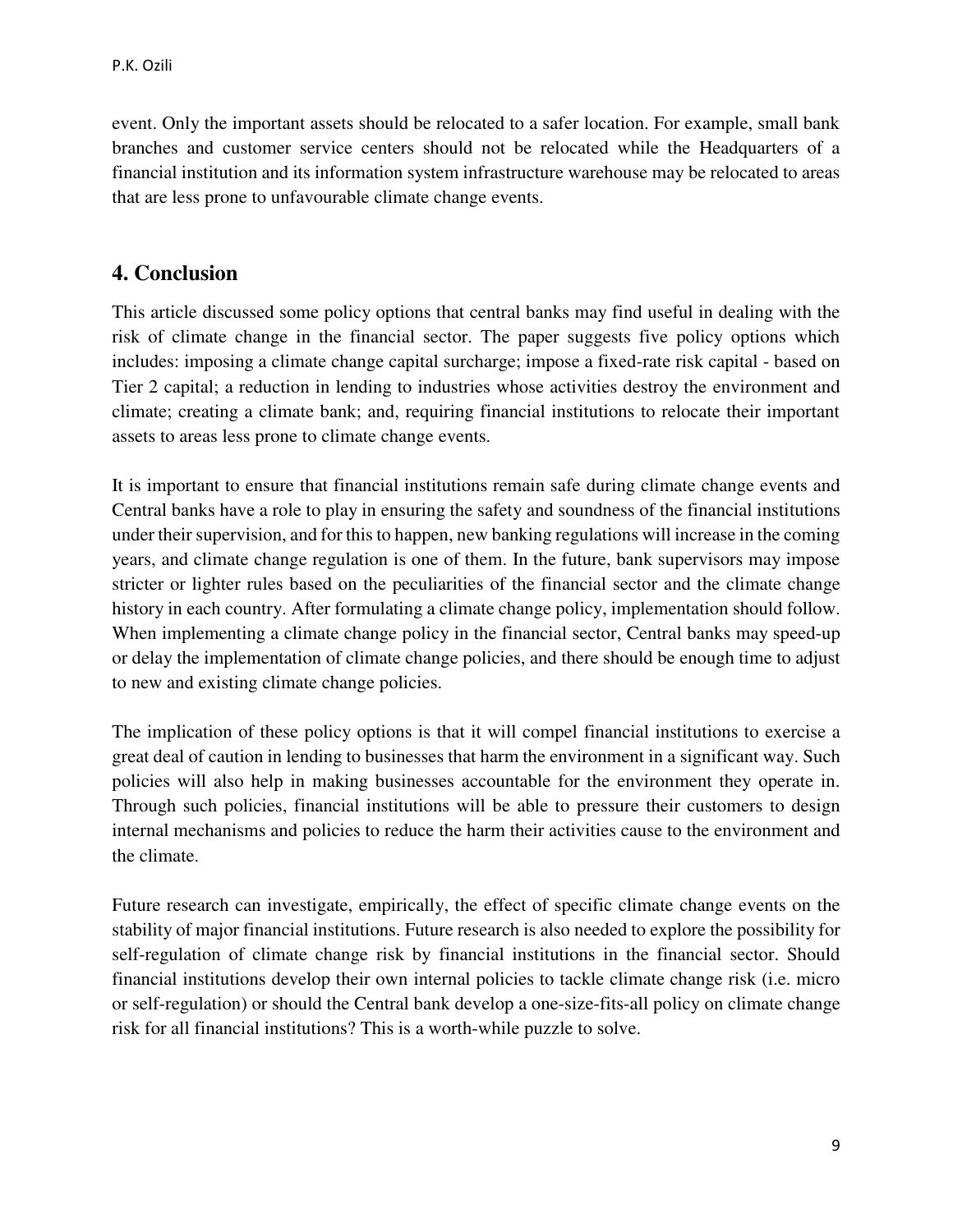event. Only the important assets should be relocated to a safer location. For example, small bank branches and customer service centers should not be relocated while the Headquarters of a financial institution and its information system infrastructure warehouse may be relocated to areas that are less prone to unfavourable climate change events.

#### **4. Conclusion**

This article discussed some policy options that central banks may find useful in dealing with the risk of climate change in the financial sector. The paper suggests five policy options which includes: imposing a climate change capital surcharge; impose a fixed-rate risk capital - based on Tier 2 capital; a reduction in lending to industries whose activities destroy the environment and climate; creating a climate bank; and, requiring financial institutions to relocate their important assets to areas less prone to climate change events.

It is important to ensure that financial institutions remain safe during climate change events and Central banks have a role to play in ensuring the safety and soundness of the financial institutions under their supervision, and for this to happen, new banking regulations will increase in the coming years, and climate change regulation is one of them. In the future, bank supervisors may impose stricter or lighter rules based on the peculiarities of the financial sector and the climate change history in each country. After formulating a climate change policy, implementation should follow. When implementing a climate change policy in the financial sector, Central banks may speed-up or delay the implementation of climate change policies, and there should be enough time to adjust to new and existing climate change policies.

The implication of these policy options is that it will compel financial institutions to exercise a great deal of caution in lending to businesses that harm the environment in a significant way. Such policies will also help in making businesses accountable for the environment they operate in. Through such policies, financial institutions will be able to pressure their customers to design internal mechanisms and policies to reduce the harm their activities cause to the environment and the climate.

Future research can investigate, empirically, the effect of specific climate change events on the stability of major financial institutions. Future research is also needed to explore the possibility for self-regulation of climate change risk by financial institutions in the financial sector. Should financial institutions develop their own internal policies to tackle climate change risk (i.e. micro or self-regulation) or should the Central bank develop a one-size-fits-all policy on climate change risk for all financial institutions? This is a worth-while puzzle to solve.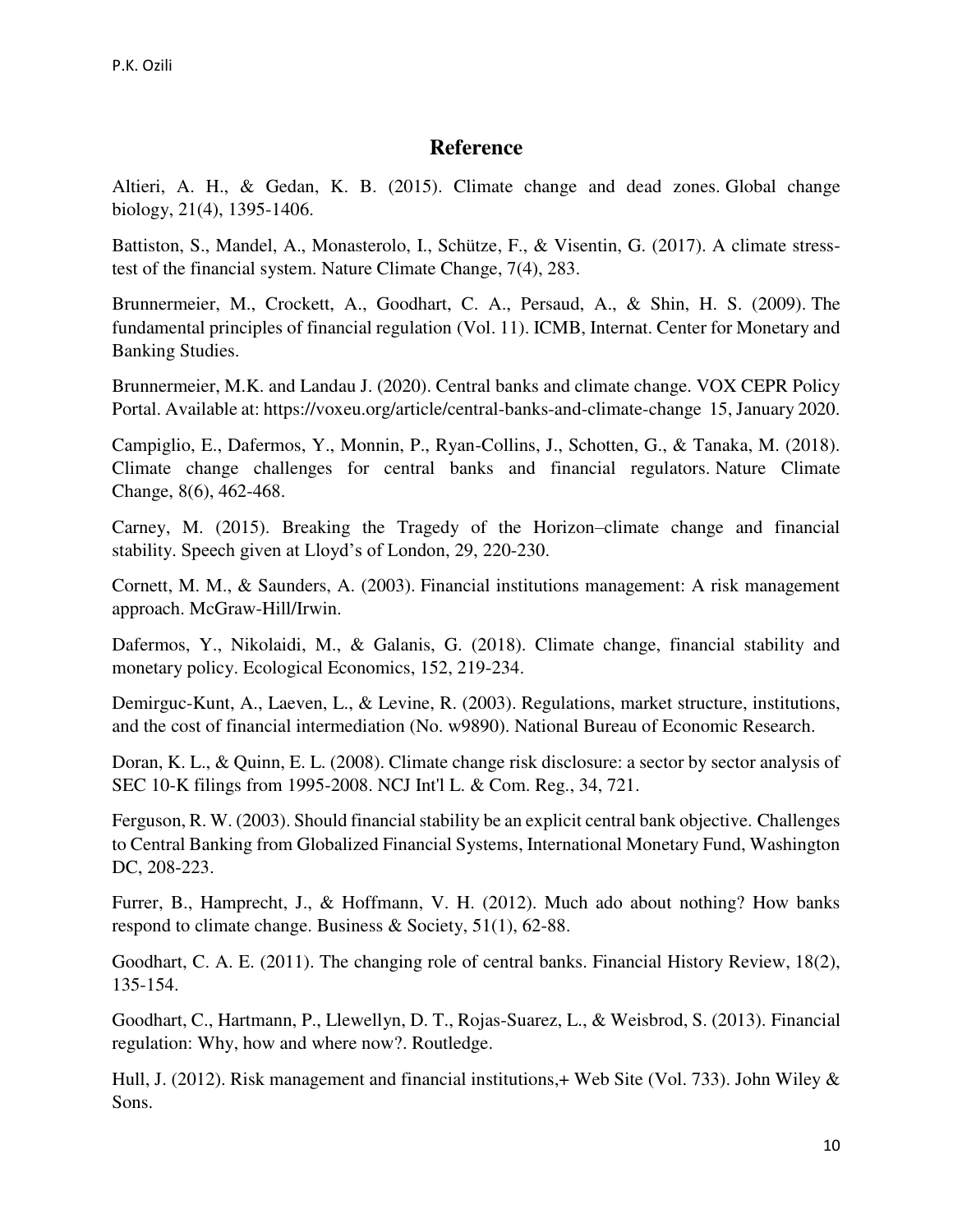# **Reference**

Altieri, A. H., & Gedan, K. B. (2015). Climate change and dead zones. Global change biology, 21(4), 1395-1406.

Battiston, S., Mandel, A., Monasterolo, I., Schütze, F., & Visentin, G. (2017). A climate stresstest of the financial system. Nature Climate Change, 7(4), 283.

Brunnermeier, M., Crockett, A., Goodhart, C. A., Persaud, A., & Shin, H. S. (2009). The fundamental principles of financial regulation (Vol. 11). ICMB, Internat. Center for Monetary and Banking Studies.

Brunnermeier, M.K. and Landau J. (2020). Central banks and climate change. VOX CEPR Policy Portal. Available at: https://voxeu.org/article/central-banks-and-climate-change 15, January 2020.

Campiglio, E., Dafermos, Y., Monnin, P., Ryan-Collins, J., Schotten, G., & Tanaka, M. (2018). Climate change challenges for central banks and financial regulators. Nature Climate Change, 8(6), 462-468.

Carney, M. (2015). Breaking the Tragedy of the Horizon–climate change and financial stability. Speech given at Lloyd's of London, 29, 220-230.

Cornett, M. M., & Saunders, A. (2003). Financial institutions management: A risk management approach. McGraw-Hill/Irwin.

Dafermos, Y., Nikolaidi, M., & Galanis, G. (2018). Climate change, financial stability and monetary policy. Ecological Economics, 152, 219-234.

Demirguc-Kunt, A., Laeven, L., & Levine, R. (2003). Regulations, market structure, institutions, and the cost of financial intermediation (No. w9890). National Bureau of Economic Research.

Doran, K. L., & Quinn, E. L. (2008). Climate change risk disclosure: a sector by sector analysis of SEC 10-K filings from 1995-2008. NCJ Int'l L. & Com. Reg., 34, 721.

Ferguson, R. W. (2003). Should financial stability be an explicit central bank objective. Challenges to Central Banking from Globalized Financial Systems, International Monetary Fund, Washington DC, 208-223.

Furrer, B., Hamprecht, J., & Hoffmann, V. H. (2012). Much ado about nothing? How banks respond to climate change. Business & Society, 51(1), 62-88.

Goodhart, C. A. E. (2011). The changing role of central banks. Financial History Review, 18(2), 135-154.

Goodhart, C., Hartmann, P., Llewellyn, D. T., Rojas-Suarez, L., & Weisbrod, S. (2013). Financial regulation: Why, how and where now?. Routledge.

Hull, J. (2012). Risk management and financial institutions,+ Web Site (Vol. 733). John Wiley & Sons.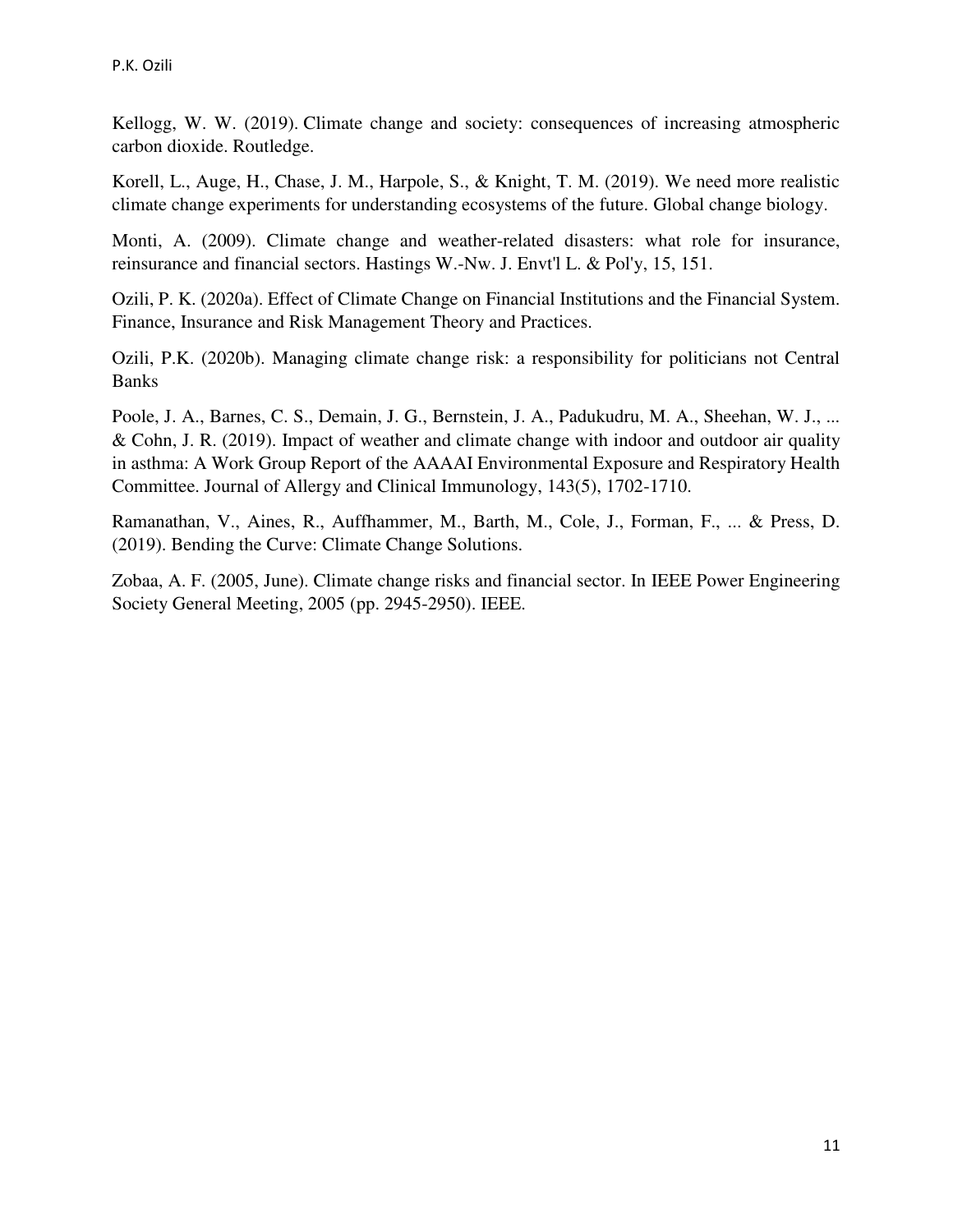Kellogg, W. W. (2019). Climate change and society: consequences of increasing atmospheric carbon dioxide. Routledge.

Korell, L., Auge, H., Chase, J. M., Harpole, S., & Knight, T. M. (2019). We need more realistic climate change experiments for understanding ecosystems of the future. Global change biology.

Monti, A. (2009). Climate change and weather-related disasters: what role for insurance, reinsurance and financial sectors. Hastings W.-Nw. J. Envt'l L. & Pol'y, 15, 151.

Ozili, P. K. (2020a). Effect of Climate Change on Financial Institutions and the Financial System. Finance, Insurance and Risk Management Theory and Practices.

Ozili, P.K. (2020b). Managing climate change risk: a responsibility for politicians not Central Banks

Poole, J. A., Barnes, C. S., Demain, J. G., Bernstein, J. A., Padukudru, M. A., Sheehan, W. J., ... & Cohn, J. R. (2019). Impact of weather and climate change with indoor and outdoor air quality in asthma: A Work Group Report of the AAAAI Environmental Exposure and Respiratory Health Committee. Journal of Allergy and Clinical Immunology, 143(5), 1702-1710.

Ramanathan, V., Aines, R., Auffhammer, M., Barth, M., Cole, J., Forman, F., ... & Press, D. (2019). Bending the Curve: Climate Change Solutions.

Zobaa, A. F. (2005, June). Climate change risks and financial sector. In IEEE Power Engineering Society General Meeting, 2005 (pp. 2945-2950). IEEE.